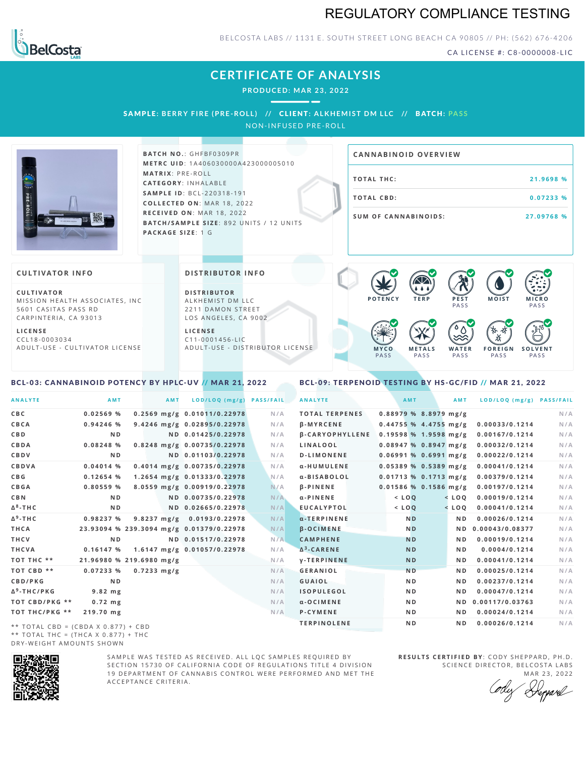# REGULATORY COMPLIANCE TESTING



BELCOSTA LABS // 1131 E. SOUTH STREET LONG BEACH CA 90805 // PH: (562) 676-4206

CA LICENSE #: C8-0000008-LIC

### **CERTIFICATE OF ANALYSIS**

**PRODUCED: MA R 23, 2022**

SAMPLE: BERRY FIRE (PRE-ROLL) // CLIENT: ALKHEMIST DM LLC // BATCH: PASS

NON-INFUSED PRE-ROLL



**BATCH NO.: GHFBF0309PR M E T R C U ID** :1 A 4 0 6 0 3 0 0 0 0 A 4 2 3 0 0 0 0 0 5 0 1 0 **M AT R I X** :P R E - R O L L **CAT E G O R Y** : I N H A L A B L E **SA M P L E I D** :B C L - 2 2 0 3 1 8 - 1 9 1  $COLLECTED ON: MAR 18, 2022$ **R E C E I V E D O N** : M A R 1 8 ,2 0 2 2 **BATCH/SAMPLE SIZE: 892 UNITS / 12 UNITS PAC KA G E S I Z E** : 1 G

# **T O TAL T H C :2 1 . 9 6 9 8 % T O TAL CB D :0 . 0 7 2 3 3 % S U M O F CA N N ABI N O I D S : 2 7 . 0 9 7 6 8 % CA N N ABI N OID OVERVI EW**

### **CULTIVATOR I N FO**

**C U L T I VAT O R** MISSION HEALTH ASSOCIATES, INC. 5601 CASITAS PASS RD CARPINTERIA, CA 93013

**L I C E N S E** C C L 1 8 - 0 0 0 3 0 3 4 A D U L T - U S E - C U L T I V A T O R L I C E N S E

<span id="page-0-0"></span>BCL-03: CANNABINOID POTENCY BY HPLC-UV // MAR 21, 2022

#### **DI STRIBUTOR I N FO**

**D I S T R IB U T O R** ALKHEMIST DM LLC 2211 DAMON STREET LOS ANGELES, CA 9002

**L I C E N S E**  $C$  1 1 - 0 0 0 1 4 5 6 - L I C A D U L T - U S E - D I STRI B U T O R LICENSE



<span id="page-0-1"></span>BCL-09: TERPENOID TESTING BY HS-GC/FID // MAR 21, 2022

| <b>ANALYTE</b>                      | AMT                                      | <b>AMT</b>            | LOD/LOQ (mg/g)                  | <b>PASS/FAIL</b> | <b>ANALYTE</b>         | AMT                     | AMT            | LOD/LOQ (mg/g) PASS/FAIL |     |
|-------------------------------------|------------------------------------------|-----------------------|---------------------------------|------------------|------------------------|-------------------------|----------------|--------------------------|-----|
| C B C                               | 0.02569%                                 |                       | $0.2569$ mg/g $0.01011/0.22978$ | N/A              | <b>TOTAL TERPENES</b>  | $0.88979$ % 8.8979 mg/g |                |                          | N/A |
| CBCA                                | $0.94246$ %                              |                       | 9.4246 mg/g 0.02895/0.22978     | N/A              | <b>B-MYRCENE</b>       | $0.44755$ % 4.4755 mg/g |                | 0.00033/0.1214           | N/A |
| C B D                               | N <sub>D</sub>                           |                       | ND 0.01425/0.22978              | N/A              | <b>B-CARYOPHYLLENE</b> | $0.19598$ % 1.9598 mg/g |                | 0.00167/0.1214           | N/A |
| CBDA                                | 0.08248 %                                |                       | 0.8248 mg/g 0.00735/0.22978     | N/A              | LINALOOL               | $0.08947$ % 0.8947 mg/g |                | 0.00032/0.1214           | N/A |
| <b>CBDV</b>                         | N <sub>D</sub>                           |                       | ND 0.01103/0.22978              | N/A              | <b>D-LIMONENE</b>      | $0.06991$ % 0.6991 mg/g |                | 0.00022/0.1214           | N/A |
| <b>CBDVA</b>                        | $0.04014$ %                              |                       | 0.4014 mg/g 0.00735/0.22978     | N/A              | α-HUMULENE             | $0.05389$ % 0.5389 mg/g |                | 0.00041/0.1214           | N/A |
| C B G                               | 0.12654%                                 |                       | 1.2654 mg/g 0.01333/0.22978     | N/A              | α-BISABOLOL            | $0.01713$ % 0.1713 mg/g |                | 0.00379/0.1214           | N/A |
| <b>CBGA</b>                         | 0.80559%                                 |                       | 8.0559 mg/g 0.00919/0.22978     | N/A              | <b>B-PINENE</b>        | $0.01586$ % 0.1586 mg/g |                | 0.00197/0.1214           | N/A |
| C B N                               | N <sub>D</sub>                           |                       | ND 0.00735/0.22978              | N/A              | $\alpha$ -PINENE       | $<$ LOQ                 | $<$ LOQ        | 0.00019/0.1214           | N/A |
| Δ <sup>8</sup> -ΤΗ C                | N <sub>D</sub>                           |                       | ND 0.02665/0.22978              | N/A              | <b>EUCALYPTOL</b>      | $<$ LOQ                 | $<$ LOQ        | 0.00041/0.1214           | N/A |
| Δ <sup>9</sup> -ΤΗ C                | 0.98237 %                                |                       | 9.8237 mg/g 0.0193/0.22978      | N/A              | $\alpha$ -TERPINENE    | N <sub>D</sub>          | ND.            | 0.00026/0.1214           | N/A |
| THCA                                | 23.93094 % 239.3094 mg/g 0.01379/0.22978 |                       |                                 | N/A              | <b>B-OCIMENE</b>       | N <sub>D</sub>          |                | ND 0.00043/0.08377       | N/A |
| THCV                                | N <sub>D</sub>                           |                       | ND 0.01517/0.22978              | N/A              | <b>CAMPHENE</b>        | <b>ND</b>               | N <sub>D</sub> | 0.00019/0.1214           | N/A |
| THCVA                               | 0.16147%                                 |                       | 1.6147 mg/g 0.01057/0.22978     | N/A              | $\Delta^3$ -CARENE     | <b>ND</b>               | N D            | 0.0004/0.1214            | N/A |
| тот тнс **                          | 21.96980 % 219.6980 mg/g                 |                       |                                 | N/A              | <b>V-TERPINENE</b>     | <b>ND</b>               | N D            | 0.00041/0.1214           | N/A |
| TOT CBD **                          | 0.07233%                                 | $0.7233 \text{ mg/g}$ |                                 | N/A              | <b>GERANIOL</b>        | <b>ND</b>               | N <sub>D</sub> | 0.00025/0.1214           | N/A |
| <b>CBD/PKG</b>                      | N <sub>D</sub>                           |                       |                                 | N/A              | <b>GUAIOL</b>          | N <sub>D</sub>          | N D            | 0.00237/0.1214           | N/A |
| Δ <sup>9</sup> -THC/PKG             | $9.82$ mg                                |                       |                                 | N/A              | <b>ISOPULEGOL</b>      | N D                     | N D            | 0.00047/0.1214           | N/A |
| ТОТ СВD/РКG **                      | $0.72$ mg                                |                       |                                 | N/A              | $\alpha$ -OCIMENE      | N <sub>D</sub>          |                | ND 0.00117/0.03763       | N/A |
| ТОТ ТНС/РКG **                      | 219.70 mg                                |                       |                                 | N/A              | P-CYMENE               | N D                     | ND.            | 0.00024/0.1214           | N/A |
| ** TOTAL CRD - (CRDA V 0 977) + CRD |                                          |                       |                                 |                  | <b>TERPINOLENE</b>     | N <sub>D</sub>          | N D            | 0.00026/0.1214           | N/A |

\*\* TOTAL CBD =  $(CBDA X 0.877) + CBD$ \*\* TOTAL THC =  $(THCA X 0.877) + THC$ DRY-WEIGHT AMOUNTS SHOWN



SAMPLE WAS TESTED AS RECEIVED. ALL LOC SAMPLES REQUIRED BY SECTION 15730 OF CALIFORNIA CODE OF REGULATIONS TITLE 4 DIVISION 19 DEPARTMENT OF CANNABIS CONTROL WERE PERFORMED AND MET THE A C C E P T A N C E C R I T E R I A .

**R E S U L T S C E R T I F I E D BY** : C O D Y S H E P P A R D ,P H .D . SCIENCE DIRECTOR, BELCOSTA LABS

MAR 23, 2022 Reppard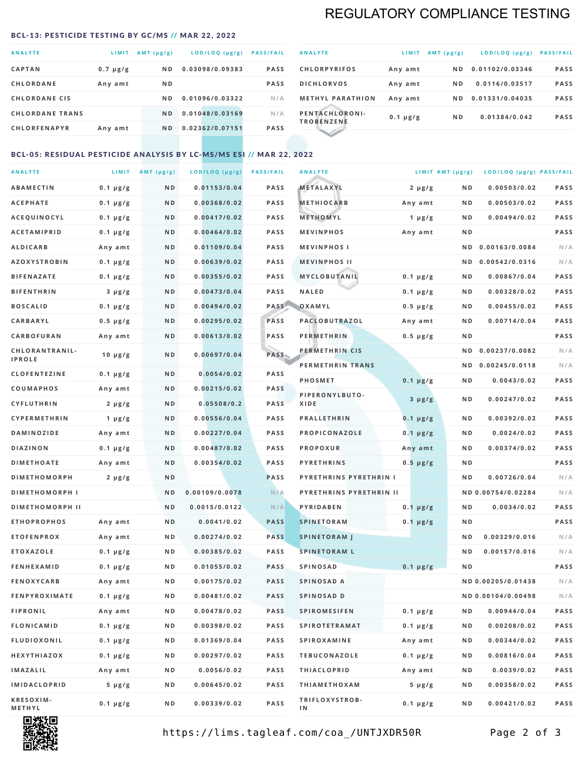# REGULATORY COMPLIANCE TESTING

#### <span id="page-1-0"></span>BCL-13: PESTICIDE TESTING BY GC/MS // MAR 22, 2022

| <b>ANALYTE</b>         | LIMIT         | $AMT(\mu g/g)$ | LOD/LOQ (µg/g)  | <b>PASS/FAIL</b> |
|------------------------|---------------|----------------|-----------------|------------------|
| <b>CAPTAN</b>          | $0.7 \mu g/g$ | ND.            | 0.03098/0.09383 | <b>PASS</b>      |
| <b>CHLORDANE</b>       | Any amt       | N <sub>D</sub> |                 | <b>PASS</b>      |
| <b>CHLORDANE CIS</b>   |               | N D            | 0.01096/0.03322 | N/A              |
| <b>CHLORDANE TRANS</b> |               | N <sub>D</sub> | 0.01048/0.03169 | N/A              |
| <b>CHLORFENAPYR</b>    | Any amt       | N <sub>D</sub> | 0.02362/0.07151 | <b>PASS</b>      |

| <b>ANALYTE</b>                      | LIMIT         | AMT (µg/g) | $LOD/LOQ$ ( $\mu g/g$ ) | <b>PASS/FAIL</b> |
|-------------------------------------|---------------|------------|-------------------------|------------------|
| <b>CHLORPYRIFOS</b>                 | Any amt       | N D        | 0.01102/0.03346         | <b>PASS</b>      |
| <b>DICHLORVOS</b>                   | Any amt       | ND.        | 0.0116/0.03517          | <b>PASS</b>      |
| <b>METHYL PARATHION</b>             | Any amt       | ND.        | 0.01331/0.04035         | <b>PASS</b>      |
| PENTACHLORONI-<br><b>TROBENZENE</b> | $0.1 \mu g/g$ | ND.        | 0.01384/0.042           | <b>PASS</b>      |
|                                     |               |            |                         |                  |

### BCL-05: RESIDUAL PESTICIDE ANALYSIS BY LC-MS/MS ESI // MAR 22, 2022

| <b>ANALYTE</b>             |               | LIMIT $AMT (\mu g/g)$ | LOD/LOQ (µg/g) | <b>PASS/FAIL</b> | <b>ANALYTE</b>                | LIMIT AMT (µg/g) |                | LOD/LOQ (µg/g) PASS/FAIL |             |
|----------------------------|---------------|-----------------------|----------------|------------------|-------------------------------|------------------|----------------|--------------------------|-------------|
| <b>ABAMECTIN</b>           | $0.1 \mu g/g$ | N D                   | 0.01153/0.04   | <b>PASS</b>      | <b>METALAXYL</b>              | $2 \mu g/g$      | N D            | 0.00503/0.02             | PASS        |
| <b>ACEPHATE</b>            | $0.1 \mu g/g$ | N D                   | 0.00368/0.02   | <b>PASS</b>      | <b>METHIOCARB</b>             | Any amt          | N D            | 0.00503/0.02             | PASS        |
| ACEQUINOCYL                | $0.1 \mu g/g$ | ND                    | 0.00417/0.02   | <b>PASS</b>      | METHOMYL                      | $1 \mu g/g$      | N D            | 0.00494/0.02             | PASS        |
| <b>ACETAMIPRID</b>         | $0.1 \mu g/g$ | N D                   | 0.00464/0.02   | <b>PASS</b>      | <b>MEVINPHOS</b>              | Any amt          | N D            |                          | PASS        |
| <b>ALDICARB</b>            | Any amt       | N D                   | 0.01109/0.04   | PASS             | <b>MEVINPHOSI</b>             |                  | N D            | 0.00163/0.0084           | N/A         |
| <b>AZOXYSTROBIN</b>        | $0.1 \mu g/g$ | N D                   | 0.00639/0.02   | <b>PASS</b>      | <b>MEVINPHOS II</b>           |                  | N D            | 0.00542/0.0316           | N/A         |
| <b>BIFENAZATE</b>          | $0.1 \mu g/g$ | N D                   | 0.00355/0.02   | <b>PASS</b>      | MYCLOBUTANIL                  | $0.1 \mu g/g$    | N D            | 0.00867/0.04             | PASS        |
| <b>BIFENTHRIN</b>          | $3 \mu g/g$   | N D                   | 0.00473/0.04   | <b>PASS</b>      | <b>NALED</b>                  | $0.1 \mu g/g$    | N D            | 0.00328/0.02             | PASS        |
| <b>BOSCALID</b>            | $0.1 \mu g/g$ | N D                   | 0.00494/0.02   | PASS             | OXAMYL                        | $0.5 \mu g/g$    | N D            | 0.00455/0.02             | PASS        |
| CARBARYL                   | $0.5 \mu g/g$ | N D                   | 0.00295/0.02   | PASS             | PACLOBUTRAZOL                 | Any amt          | N D            | 0.00714/0.04             | PASS        |
| <b>CARBOFURAN</b>          | Any amt       | N D                   | 0.00613/0.02   | <b>PASS</b>      | <b>PERMETHRIN</b>             | $0.5 \mu g/g$    | N D            |                          | <b>PASS</b> |
| CHLORANTRANIL-             | 10 $\mu$ g/g  | N D                   | 0.00697/0.04   | PASS             | PERMETHRIN CIS                |                  | N D            | 0.00237/0.0082           | N/A         |
| <b>IPROLE</b>              |               |                       |                |                  | PERMETHRIN TRANS              |                  |                | ND 0.00245/0.0118        | N/A         |
| <b>CLOFENTEZINE</b>        | $0.1 \mu g/g$ | N D                   | 0.0054/0.02    | <b>PASS</b>      | <b>PHOSMET</b>                | $0.1 \mu g/g$    | N D            | 0.0043/0.02              | PASS        |
| COUMAPHOS                  | Any amt       | N D                   | 0.00215/0.02   | <b>PASS</b>      | PIPERONYLBUTO-                | $3 \mu g/g$      | N D            | 0.00247/0.02             | PASS        |
| <b>CYFLUTHRIN</b>          | $2 \mu g/g$   | N D                   | 0.05508/0.2    | <b>PASS</b>      | XIDE                          |                  |                |                          |             |
| <b>CYPERMETHRIN</b>        | 1 $\mu$ g/g   | N D                   | 0.00556/0.04   | <b>PASS</b>      | <b>PRALLETHRIN</b>            | $0.1 \mu g/g$    | N D            | 0.00392/0.02             | PASS        |
| <b>DAMINOZIDE</b>          | Any amt       | N D                   | 0.00227/0.04   | <b>PASS</b>      | PROPICONAZOLE                 | $0.1 \mu g/g$    | N D            | 0.0024/0.02              | PASS        |
| <b>DIAZINON</b>            | $0.1 \mu g/g$ | N D                   | 0.00487/0.02   | PASS             | <b>PROPOXUR</b>               | Any amt          | N D            | 0.00374/0.02             | <b>PASS</b> |
| <b>DIMETHOATE</b>          | Any amt       | N D                   | 0.00354/0.02   | <b>PASS</b>      | <b>PYRETHRINS</b>             | $0.5 \mu g/g$    | N D            |                          | PASS        |
| <b>DIMETHOMORPH</b>        | $2 \mu g/g$   | ND                    |                | <b>PASS</b>      | <b>PYRETHRINS PYRETHRIN I</b> |                  | ND             | 0.00726/0.04             | N/A         |
| <b>DIMETHOMORPH I</b>      |               | N D                   | 0.00109/0.0078 | N/A              | PYRETHRINS PYRETHRIN II       |                  |                | ND 0.00754/0.02284       | N/A         |
| <b>DIMETHOMORPH II</b>     |               | ND                    | 0.0015/0.0122  | N/A              | PYRIDABEN                     | $0.1 \mu g/g$    | N D            | 0.0034/0.02              | PASS        |
| <b>ETHOPROPHOS</b>         | Any amt       | N D                   | 0.0041/0.02    | <b>PASS</b>      | <b>SPINETORAM</b>             | $0.1 \mu g/g$    | N D            |                          | PASS        |
| <b>ETOFENPROX</b>          | Any amt       | N D                   | 0.00274/0.02   | <b>PASS</b>      | <b>SPINETORAM J</b>           |                  | N D            | 0.00329/0.016            | N/A         |
| <b>ETOXAZOLE</b>           | $0.1 \mu g/g$ | N D                   | 0.00385/0.02   | <b>PASS</b>      | <b>SPINETORAM L</b>           |                  | N <sub>D</sub> | 0.00157/0.016            | N/A         |
| <b>FENHEXAMID</b>          | $0.1 \mu g/g$ | N D                   | 0.01055/0.02   | <b>PASS</b>      | <b>SPINOSAD</b>               | $0.1 \mu g/g$    | ND             |                          | PASS        |
| <b>FENOXYCARB</b>          | Any amt       | N D                   | 0.00175/0.02   | <b>PASS</b>      | SPINOSAD A                    |                  |                | ND 0.00205/0.01438       | N/A         |
| <b>FENPYROXIMATE</b>       | $0.1 \mu g/g$ | N D                   | 0.00481/0.02   | <b>PASS</b>      | SPINOSAD D                    |                  |                | ND 0.00104/0.00498       | N/A         |
| <b>FIPRONIL</b>            | Any amt       | N D                   | 0.00478/0.02   | PASS             | <b>SPIROMESIFEN</b>           | $0.1 \mu g/g$    | N D            | 0.00944/0.04             | PASS        |
| <b>FLONICAMID</b>          | $0.1 \mu g/g$ | N D                   | 0.00398/0.02   | PASS             | <b>SPIROTETRAMAT</b>          | $0.1 \mu g/g$    | N D            | 0.00208/0.02             | PASS        |
| FLUDIOXONIL                | $0.1 \mu g/g$ | N D                   | 0.01369/0.04   | PASS             | SPIROXAMINE                   | Any amt          | N D            | 0.00344/0.02             | PASS        |
| HEXYTHIAZOX                | $0.1 \mu g/g$ | N D                   | 0.00297/0.02   | PASS             | <b>TEBUCONAZOLE</b>           | $0.1 \mu g/g$    | N D            | 0.00816/0.04             | PASS        |
| IMAZALIL                   | Any amt       | N D                   | 0.0056/0.02    | PASS             | <b>THIACLOPRID</b>            | Any amt          | N D            | 0.0039/0.02              | PASS        |
| <b>IMIDACLOPRID</b>        | $5 \mu g/g$   | N D                   | 0.00645/0.02   | PASS             | <b>THIAMETHOXAM</b>           | $5 \mu g/g$      | N D            | 0.00358/0.02             | PASS        |
| <b>KRESOXIM-</b><br>METHYL | $0.1 \mu g/g$ | N D                   | 0.00339/0.02   | PASS             | TRIFLOXYSTROB-<br>ΙN          | $0.1 \mu g/g$    | N D            | 0.00421/0.02             | PASS        |